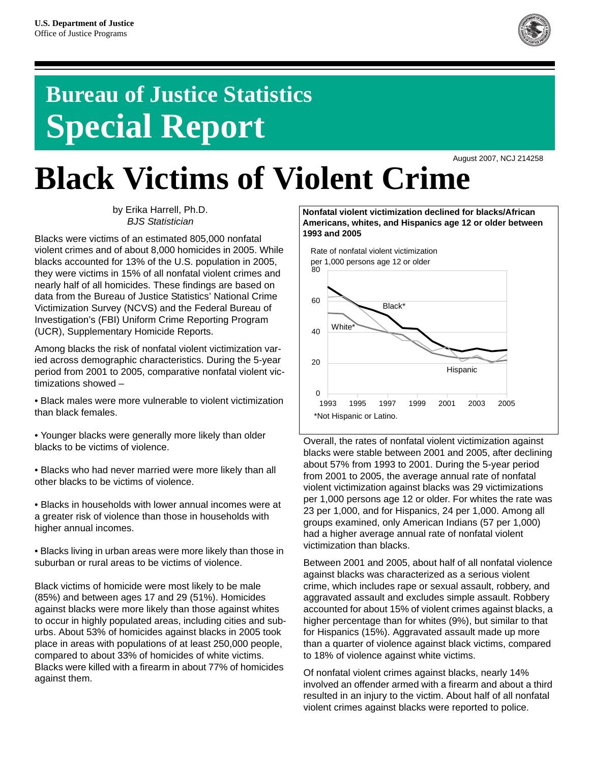

# **Bureau of Justice Statistics Special Report**

August 2007, NCJ 214258

# **Black Victims of Violent Crime**

by Erika Harrell, Ph.D. *BJS Statistician*

Blacks were victims of an estimated 805,000 nonfatal violent crimes and of about 8,000 homicides in 2005. While blacks accounted for 13% of the U.S. population in 2005, they were victims in 15% of all nonfatal violent crimes and nearly half of all homicides. These findings are based on data from the Bureau of Justice Statistics' National Crime Victimization Survey (NCVS) and the Federal Bureau of Investigation's (FBI) Uniform Crime Reporting Program (UCR), Supplementary Homicide Reports.

Among blacks the risk of nonfatal violent victimization varied across demographic characteristics. During the 5-year period from 2001 to 2005, comparative nonfatal violent victimizations showed –

• Black males were more vulnerable to violent victimization than black females.

• Younger blacks were generally more likely than older blacks to be victims of violence.

• Blacks who had never married were more likely than all other blacks to be victims of violence.

• Blacks in households with lower annual incomes were at a greater risk of violence than those in households with higher annual incomes.

• Blacks living in urban areas were more likely than those in suburban or rural areas to be victims of violence.

Black victims of homicide were most likely to be male (85%) and between ages 17 and 29 (51%). Homicides against blacks were more likely than those against whites to occur in highly populated areas, including cities and suburbs. About 53% of homicides against blacks in 2005 took place in areas with populations of at least 250,000 people, compared to about 33% of homicides of white victims. Blacks were killed with a firearm in about 77% of homicides against them.

**Nonfatal violent victimization declined for blacks/African Americans, whites, and Hispanics age 12 or older between 1993 and 2005**



Overall, the rates of nonfatal violent victimization against blacks were stable between 2001 and 2005, after declining about 57% from 1993 to 2001. During the 5-year period from 2001 to 2005, the average annual rate of nonfatal violent victimization against blacks was 29 victimizations per 1,000 persons age 12 or older. For whites the rate was 23 per 1,000, and for Hispanics, 24 per 1,000. Among all groups examined, only American Indians (57 per 1,000) had a higher average annual rate of nonfatal violent victimization than blacks.

Between 2001 and 2005, about half of all nonfatal violence against blacks was characterized as a serious violent crime, which includes rape or sexual assault, robbery, and aggravated assault and excludes simple assault. Robbery accounted for about 15% of violent crimes against blacks, a higher percentage than for whites (9%), but similar to that for Hispanics (15%). Aggravated assault made up more than a quarter of violence against black victims, compared to 18% of violence against white victims.

Of nonfatal violent crimes against blacks, nearly 14% involved an offender armed with a firearm and about a third resulted in an injury to the victim. About half of all nonfatal violent crimes against blacks were reported to police.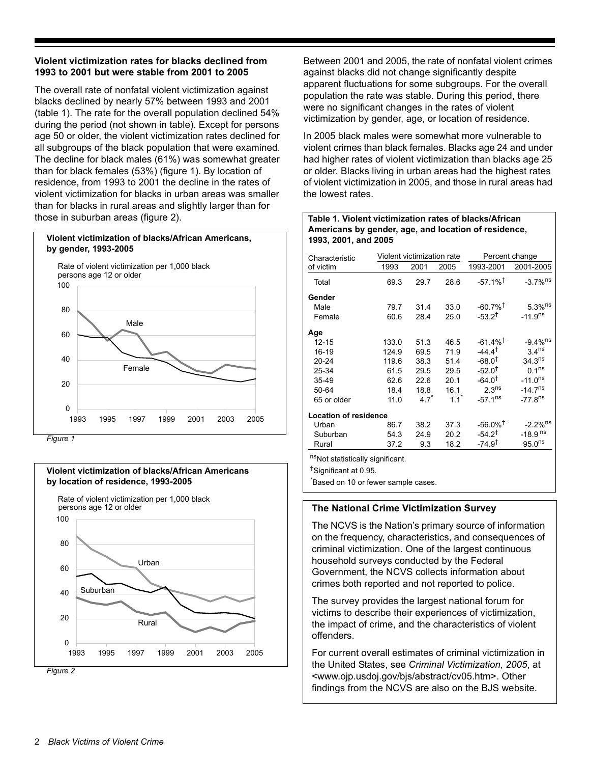# **Violent victimization rates for blacks declined from 1993 to 2001 but were stable from 2001 to 2005**

The overall rate of nonfatal violent victimization against blacks declined by nearly 57% between 1993 and 2001 (table 1). The rate for the overall population declined 54% during the period (not shown in table). Except for persons age 50 or older, the violent victimization rates declined for all subgroups of the black population that were examined. The decline for black males (61%) was somewhat greater than for black females (53%) (figure 1). By location of residence, from 1993 to 2001 the decline in the rates of violent victimization for blacks in urban areas was smaller than for blacks in rural areas and slightly larger than for those in suburban areas (figure 2).



*Figure 1*





Between 2001 and 2005, the rate of nonfatal violent crimes against blacks did not change significantly despite apparent fluctuations for some subgroups. For the overall population the rate was stable. During this period, there were no significant changes in the rates of violent victimization by gender, age, or location of residence.

In 2005 black males were somewhat more vulnerable to violent crimes than black females. Blacks age 24 and under had higher rates of violent victimization than blacks age 25 or older. Blacks living in urban areas had the highest rates of violent victimization in 2005, and those in rural areas had the lowest rates.

# **Table 1. Violent victimization rates of blacks/African Americans by gender, age, and location of residence, 1993, 2001, and 2005**

| Characteristic               | Violent victimization rate |              | Percent change |                        |                        |
|------------------------------|----------------------------|--------------|----------------|------------------------|------------------------|
| of victim                    | 1993                       | 2001         | 2005           | 1993-2001              | 2001-2005              |
| Total                        | 69.3                       | 29.7         | 28.6           | $-57.1\%$ <sup>†</sup> | $-3.7\%$ <sup>ns</sup> |
| Gender                       |                            |              |                |                        |                        |
| Male                         | 79.7                       | 31.4         | 33.0           | $-60.7\%$ <sup>†</sup> | $5.3\%$ <sup>ns</sup>  |
| Female                       | 60.6                       | 28.4         | 25.0           | $-53.2^{\dagger}$      | $-11.9ns$              |
| Age                          |                            |              |                |                        |                        |
| $12 - 15$                    | 133.0                      | 51.3         | 46.5           | $-61.4\%$ <sup>†</sup> | $-9.4\%$ <sup>ns</sup> |
| $16-19$                      | 124.9                      | 69.5         | 71.9           | $-44.4^{\dagger}$      | 3.4 <sup>ns</sup>      |
| $20 - 24$                    | 119.6                      | 38.3         | 51.4           | $-68.0$ <sup>t</sup>   | $34.3^{ns}$            |
| 25-34                        | 61.5                       | 29.5         | 29.5           | $-52.0$ <sup>t</sup>   | 0.1 <sup>ns</sup>      |
| $35 - 49$                    | 62.6                       | 22.6         | 20.1           | $-64.0^{\dagger}$      | $-11.0^{ns}$           |
| 50-64                        | 18.4                       | 18.8         | 16.1           | 2.3 <sup>ns</sup>      | $-14.7$ <sup>ns</sup>  |
| 65 or older                  | 11.0                       | $4.7^{\ast}$ | $11*$          | $-57.1^{ns}$           | $-77.8$ <sup>ns</sup>  |
| <b>Location of residence</b> |                            |              |                |                        |                        |
| Urban                        | 86.7                       | 38.2         | 37.3           | $-56.0\%$ <sup>†</sup> | $-2.2\%$ <sup>ns</sup> |
| Suburban                     | 54.3                       | 24.9         | 20.2           | $-54.2^{\dagger}$      | $-18.9$ <sup>ns</sup>  |
| Rural                        | 37.2                       | 9.3          | 18.2           | $-74.9^{\dagger}$      | $95.0^{ns}$            |
| ne <i></i><br>$\cdots$       |                            |              |                |                        |                        |

<sup>ns</sup>Not statistically significant.

†Significant at 0.95.

\* Based on 10 or fewer sample cases.

# **The National Crime Victimization Survey**

The NCVS is the Nation's primary source of information on the frequency, characteristics, and consequences of criminal victimization. One of the largest continuous household surveys conducted by the Federal Government, the NCVS collects information about crimes both reported and not reported to police.

The survey provides the largest national forum for victims to describe their experiences of victimization, the impact of crime, and the characteristics of violent offenders.

For current overall estimates of criminal victimization in the United States, see *Criminal Victimization, 2005*, at <www.ojp.usdoj.gov/bjs/abstract/cv05.htm>. Other findings from the NCVS are also on the BJS website.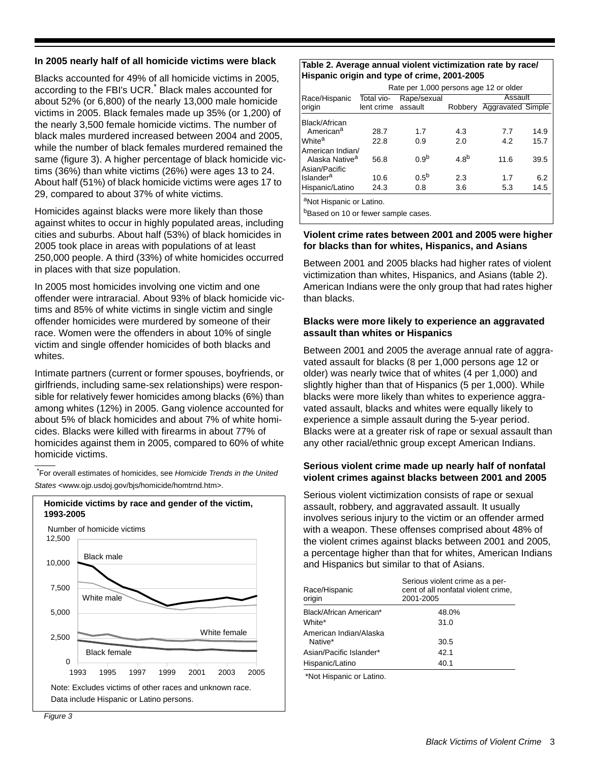# **In 2005 nearly half of all homicide victims were black**

Blacks accounted for 49% of all homicide victims in 2005, according to the FBI's UCR.<sup>\*</sup> Black males accounted for about 52% (or 6,800) of the nearly 13,000 male homicide victims in 2005. Black females made up 35% (or 1,200) of the nearly 3,500 female homicide victims. The number of black males murdered increased between 2004 and 2005, while the number of black females murdered remained the same (figure 3). A higher percentage of black homicide victims (36%) than white victims (26%) were ages 13 to 24. About half (51%) of black homicide victims were ages 17 to 29, compared to about 37% of white victims.

Homicides against blacks were more likely than those against whites to occur in highly populated areas, including cities and suburbs. About half (53%) of black homicides in 2005 took place in areas with populations of at least 250,000 people. A third (33%) of white homicides occurred in places with that size population.

In 2005 most homicides involving one victim and one offender were intraracial. About 93% of black homicide victims and 85% of white victims in single victim and single offender homicides were murdered by someone of their race. Women were the offenders in about 10% of single victim and single offender homicides of both blacks and whites.

Intimate partners (current or former spouses, boyfriends, or girlfriends, including same-sex relationships) were responsible for relatively fewer homicides among blacks (6%) than among whites (12%) in 2005. Gang violence accounted for about 5% of black homicides and about 7% of white homicides. Blacks were killed with firearms in about 77% of homicides against them in 2005, compared to 60% of white homicide victims.

\* For overall estimates of homicides, see *Homicide Trends in the United States* <www.ojp.usdoj.gov/bjs/homicide/homtrnd.htm>.



# **Table 2. Average annual violent victimization rate by race/ Hispanic origin and type of crime, 2001-2005**

|                                                | Rate per 1,000 persons age 12 or older |                  |                  |                          |      |
|------------------------------------------------|----------------------------------------|------------------|------------------|--------------------------|------|
| Race/Hispanic                                  | Total vio-                             | Rape/sexual      |                  | Assault                  |      |
| origin                                         | lent crime                             | assault          | Robbery          | <b>Aggravated Simple</b> |      |
| Black/African                                  |                                        |                  |                  |                          |      |
| American <sup>a</sup>                          | 28.7                                   | 1.7              | 4.3              | 7.7                      | 14.9 |
| White <sup>a</sup>                             | 22.8                                   | 0.9              | 2.0              | 4.2                      | 15.7 |
| American Indian/<br>Alaska Native <sup>a</sup> | 56.8                                   | 0.9 <sup>b</sup> | 4.8 <sup>b</sup> | 11.6                     | 39.5 |
| Asian/Pacific<br>Islander <sup>a</sup>         | 10.6                                   | $0.5^{\text{b}}$ | 2.3              | 1.7                      | 6.2  |
| Hispanic/Latino                                | 24.3                                   | 0.8              | 3.6              | 5.3                      | 14.5 |
|                                                |                                        |                  |                  |                          |      |

<sup>a</sup>Not Hispanic or Latino.

bBased on 10 or fewer sample cases.

# **Violent crime rates between 2001 and 2005 were higher for blacks than for whites, Hispanics, and Asians**

Between 2001 and 2005 blacks had higher rates of violent victimization than whites, Hispanics, and Asians (table 2). American Indians were the only group that had rates higher than blacks.

# **Blacks were more likely to experience an aggravated assault than whites or Hispanics**

Between 2001 and 2005 the average annual rate of aggravated assault for blacks (8 per 1,000 persons age 12 or older) was nearly twice that of whites (4 per 1,000) and slightly higher than that of Hispanics (5 per 1,000). While blacks were more likely than whites to experience aggravated assault, blacks and whites were equally likely to experience a simple assault during the 5-year period. Blacks were at a greater risk of rape or sexual assault than any other racial/ethnic group except American Indians.

# **Serious violent crime made up nearly half of nonfatal violent crimes against blacks between 2001 and 2005**

Serious violent victimization consists of rape or sexual assault, robbery, and aggravated assault. It usually involves serious injury to the victim or an offender armed with a weapon. These offenses comprised about 48% of the violent crimes against blacks between 2001 and 2005, a percentage higher than that for whites, American Indians and Hispanics but similar to that of Asians.

| Serious violent crime as a per-<br>cent of all nonfatal violent crime,<br>2001-2005 |  |  |
|-------------------------------------------------------------------------------------|--|--|
| 48.0%                                                                               |  |  |
| 31.0                                                                                |  |  |
| 30.5                                                                                |  |  |
| 42.1                                                                                |  |  |
| 40.1                                                                                |  |  |
|                                                                                     |  |  |

\*Not Hispanic or Latino.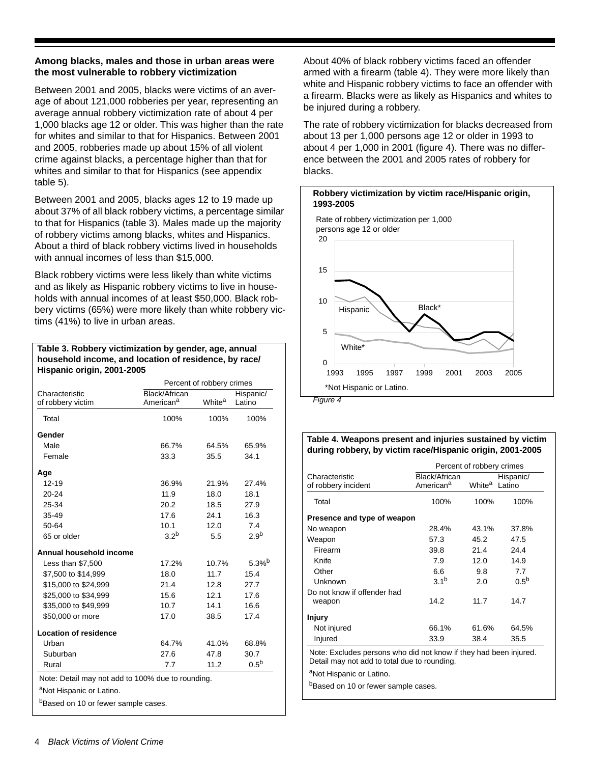# **Among blacks, males and those in urban areas were the most vulnerable to robbery victimization**

Between 2001 and 2005, blacks were victims of an average of about 121,000 robberies per year, representing an average annual robbery victimization rate of about 4 per 1,000 blacks age 12 or older. This was higher than the rate for whites and similar to that for Hispanics. Between 2001 and 2005, robberies made up about 15% of all violent crime against blacks, a percentage higher than that for whites and similar to that for Hispanics (see appendix table 5).

Between 2001 and 2005, blacks ages 12 to 19 made up about 37% of all black robbery victims, a percentage similar to that for Hispanics (table 3). Males made up the majority of robbery victims among blacks, whites and Hispanics. About a third of black robbery victims lived in households with annual incomes of less than \$15,000.

Black robbery victims were less likely than white victims and as likely as Hispanic robbery victims to live in households with annual incomes of at least \$50,000. Black robbery victims (65%) were more likely than white robbery victims (41%) to live in urban areas.

#### **Table 3. Robbery victimization by gender, age, annual household income, and location of residence, by race/ Hispanic origin, 2001-2005**

|                                     |                                        | Percent of robbery crimes |                     |
|-------------------------------------|----------------------------------------|---------------------------|---------------------|
| Characteristic<br>of robbery victim | Black/African<br>American <sup>a</sup> | White <sup>a</sup>        | Hispanic/<br>Latino |
| Total                               | 100%                                   | 100%                      | 100%                |
| Gender                              |                                        |                           |                     |
| Male                                | 66.7%                                  | 64.5%                     | 65.9%               |
| Female                              | 33.3                                   | 35.5                      | 34.1                |
| Age                                 |                                        |                           |                     |
| $12 - 19$                           | 36.9%                                  | 21.9%                     | 27.4%               |
| 20-24                               | 11.9                                   | 18.0                      | 18.1                |
| 25-34                               | 20.2                                   | 18.5                      | 27.9                |
| 35-49                               | 17.6                                   | 24.1                      | 16.3                |
| 50-64                               | 10.1                                   | 12.0                      | 7.4                 |
| 65 or older                         | 3.2 <sup>b</sup>                       | 5.5                       | 2.9 <sup>b</sup>    |
| Annual household income             |                                        |                           |                     |
| Less than \$7,500                   | 17.2%                                  | 10.7%                     | $5.3%^{b}$          |
| \$7,500 to \$14,999                 | 18.0                                   | 11.7                      | 15.4                |
| \$15,000 to \$24,999                | 21.4                                   | 12.8                      | 27.7                |
| \$25,000 to \$34,999                | 15.6                                   | 12.1                      | 17.6                |
| \$35,000 to \$49,999                | 10.7                                   | 14.1                      | 16.6                |
| \$50,000 or more                    | 17.0                                   | 38.5                      | 17.4                |
| <b>Location of residence</b>        |                                        |                           |                     |
| Urban                               | 64.7%                                  | 41.0%                     | 68.8%               |
| Suburban                            | 27.6                                   | 47.8                      | 30.7                |
|                                     | 7.7                                    | 11.2                      | 0.5 <sup>b</sup>    |

About 40% of black robbery victims faced an offender armed with a firearm (table 4). They were more likely than white and Hispanic robbery victims to face an offender with a firearm. Blacks were as likely as Hispanics and whites to be injured during a robbery.

The rate of robbery victimization for blacks decreased from about 13 per 1,000 persons age 12 or older in 1993 to about 4 per 1,000 in 2001 (figure 4). There was no difference between the 2001 and 2005 rates of robbery for blacks.



#### **Table 4. Weapons present and injuries sustained by victim during robbery, by victim race/Hispanic origin, 2001-2005**

|                                       | Percent of robbery crimes              |                    |                     |
|---------------------------------------|----------------------------------------|--------------------|---------------------|
| Characteristic<br>of robbery incident | Black/African<br>American <sup>a</sup> | White <sup>a</sup> | Hispanic/<br>Latino |
| Total                                 | 100%                                   | 100%               | 100%                |
| Presence and type of weapon           |                                        |                    |                     |
| No weapon                             | 28.4%                                  | 43.1%              | 37.8%               |
| Weapon                                | 57.3                                   | 45.2               | 47.5                |
| Firearm                               | 39.8                                   | 21.4               | 24.4                |
| Knife                                 | 7.9                                    | 12.0               | 14.9                |
| Other                                 | 6.6                                    | 9.8                | 7.7                 |
| Unknown                               | 3.1 <sup>b</sup>                       | 2.0                | $0.5^{\text{b}}$    |
| Do not know if offender had           |                                        |                    |                     |
| weapon                                | 14.2                                   | 11.7               | 14.7                |
| <b>Injury</b>                         |                                        |                    |                     |
| Not injured                           | 66.1%                                  | 61.6%              | 64.5%               |
| Injured                               | 33.9                                   | 38.4               | 35.5                |

Detail may not add to total due to rounding.

aNot Hispanic or Latino.

bBased on 10 or fewer sample cases.

<sup>b</sup>Based on 10 or fewer sample cases.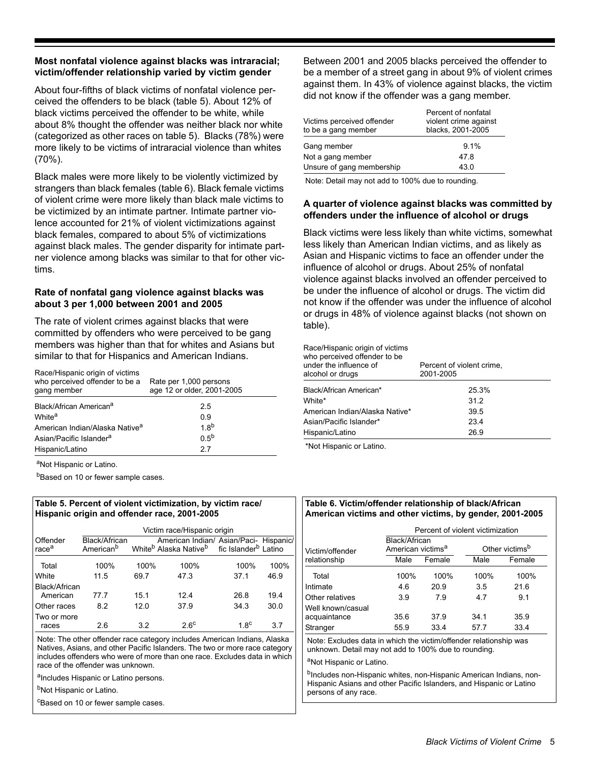# **Most nonfatal violence against blacks was intraracial; victim/offender relationship varied by victim gender**

About four-fifths of black victims of nonfatal violence perceived the offenders to be black (table 5). About 12% of black victims perceived the offender to be white, while about 8% thought the offender was neither black nor white (categorized as other races on table 5). Blacks (78%) were more likely to be victims of intraracial violence than whites (70%).

Black males were more likely to be violently victimized by strangers than black females (table 6). Black female victims of violent crime were more likely than black male victims to be victimized by an intimate partner. Intimate partner violence accounted for 21% of violent victimizations against black females, compared to about 5% of victimizations against black males. The gender disparity for intimate partner violence among blacks was similar to that for other victims.

# **Rate of nonfatal gang violence against blacks was about 3 per 1,000 between 2001 and 2005**

The rate of violent crimes against blacks that were committed by offenders who were perceived to be gang members was higher than that for whites and Asians but similar to that for Hispanics and American Indians.

| Race/Hispanic origin of victims<br>who perceived offender to be a<br>gang member | Rate per 1,000 persons<br>age 12 or older, 2001-2005 |
|----------------------------------------------------------------------------------|------------------------------------------------------|
| Black/African American <sup>a</sup>                                              | 2.5                                                  |
| White <sup>a</sup>                                                               | 0.9                                                  |
| American Indian/Alaska Native <sup>a</sup>                                       | 18 <sup>b</sup>                                      |
| Asian/Pacific Islander <sup>a</sup>                                              | 0.5 <sup>b</sup>                                     |
| Hispanic/Latino                                                                  | 27                                                   |

aNot Hispanic or Latino.

bBased on 10 or fewer sample cases.

# **Table 5. Percent of violent victimization, by victim race/ Hispanic origin and offender race, 2001-2005**

|                               | Victim race/Hispanic origin            |      |                                                                                                                          |             |      |
|-------------------------------|----------------------------------------|------|--------------------------------------------------------------------------------------------------------------------------|-------------|------|
| Offender<br>race <sup>a</sup> | Black/African<br>American <sup>b</sup> |      | American Indian/ Asian/Paci- Hispanic/<br>White <sup>b</sup> Alaska Native <sup>b</sup> fic Islander <sup>b</sup> Latino |             |      |
| Total                         | 100%                                   | 100% | 100%                                                                                                                     | 100%        | 100% |
| White                         | 11.5                                   | 69.7 | 47.3                                                                                                                     | 37.1        | 46.9 |
| Black/African<br>American     | 77.7                                   | 15.1 | 12.4                                                                                                                     | 26.8        | 19.4 |
| Other races                   | 8.2                                    | 12.0 | 37.9                                                                                                                     | 34.3        | 30.0 |
| Two or more<br>races          | 2.6                                    | 3.2  | $2.6^\circ$                                                                                                              | $1.8^\circ$ | 3.7  |

Note: The other offender race category includes American Indians, Alaska Natives, Asians, and other Pacific Islanders. The two or more race category includes offenders who were of more than one race. Excludes data in which race of the offender was unknown.

aIncludes Hispanic or Latino persons.

bNot Hispanic or Latino.

<sup>c</sup>Based on 10 or fewer sample cases.

Between 2001 and 2005 blacks perceived the offender to be a member of a street gang in about 9% of violent crimes against them. In 43% of violence against blacks, the victim did not know if the offender was a gang member.

| Victims perceived offender<br>to be a gang member | Percent of nonfatal<br>violent crime against<br>blacks, 2001-2005 |
|---------------------------------------------------|-------------------------------------------------------------------|
| Gang member                                       | 9.1%                                                              |
| Not a gang member                                 | 47.8                                                              |
| Unsure of gang membership                         | 43.0                                                              |
|                                                   |                                                                   |

Note: Detail may not add to 100% due to rounding.

# **A quarter of violence against blacks was committed by offenders under the influence of alcohol or drugs**

Black victims were less likely than white victims, somewhat less likely than American Indian victims, and as likely as Asian and Hispanic victims to face an offender under the influence of alcohol or drugs. About 25% of nonfatal violence against blacks involved an offender perceived to be under the influence of alcohol or drugs. The victim did not know if the offender was under the influence of alcohol or drugs in 48% of violence against blacks (not shown on table).

#### Race/Hispanic origin of victims

| who perceived offender to be<br>under the influence of<br>alcohol or drugs | Percent of violent crime,<br>2001-2005 |
|----------------------------------------------------------------------------|----------------------------------------|
| Black/African American*                                                    | 25.3%                                  |
| White*                                                                     | 31.2                                   |
| American Indian/Alaska Native*                                             | 39.5                                   |
| Asian/Pacific Islander*                                                    | 23.4                                   |
| Hispanic/Latino                                                            | 26.9                                   |
|                                                                            |                                        |

\*Not Hispanic or Latino.

# **Table 6. Victim/offender relationship of black/African American victims and other victims, by gender, 2001-2005**

|                                                                                                                           | Percent of violent victimization               |        |      |                            |
|---------------------------------------------------------------------------------------------------------------------------|------------------------------------------------|--------|------|----------------------------|
| Victim/offender                                                                                                           | Black/African<br>American victims <sup>a</sup> |        |      | Other victims <sup>b</sup> |
| relationship                                                                                                              | Male                                           | Female | Male | Female                     |
| Total                                                                                                                     | 100%                                           | 100%   | 100% | 100%                       |
| Intimate                                                                                                                  | 4.6                                            | 20.9   | 3.5  | 21.6                       |
| Other relatives                                                                                                           | 3.9                                            | 7.9    | 47   | 9.1                        |
| Well known/casual                                                                                                         |                                                |        |      |                            |
| acquaintance                                                                                                              | 35.6                                           | 37.9   | 34 1 | 35.9                       |
| Stranger                                                                                                                  | 55.9                                           | 33.4   | 57.7 | 33.4                       |
| Note: Excludes data in which the victim/offender relationship was<br>unknown. Detail may not add to 100% due to rounding. |                                                |        |      |                            |
| <sup>a</sup> Not Hispanic or Latino.                                                                                      |                                                |        |      |                            |
|                                                                                                                           |                                                |        |      |                            |

<sup>b</sup>Includes non-Hispanic whites, non-Hispanic American Indians, non-Hispanic Asians and other Pacific Islanders, and Hispanic or Latino persons of any race.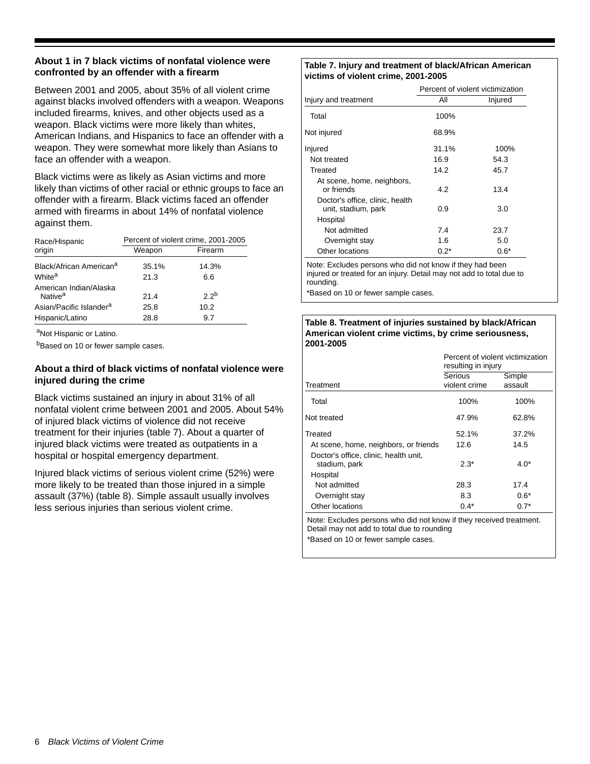# **About 1 in 7 black victims of nonfatal violence were confronted by an offender with a firearm**

Between 2001 and 2005, about 35% of all violent crime against blacks involved offenders with a weapon. Weapons included firearms, knives, and other objects used as a weapon. Black victims were more likely than whites, American Indians, and Hispanics to face an offender with a weapon. They were somewhat more likely than Asians to face an offender with a weapon.

Black victims were as likely as Asian victims and more likely than victims of other racial or ethnic groups to face an offender with a firearm. Black victims faced an offender armed with firearms in about 14% of nonfatal violence against them.

| Race/Hispanic                                 | Percent of violent crime, 2001-2005 |                 |  |  |
|-----------------------------------------------|-------------------------------------|-----------------|--|--|
| origin                                        | Weapon                              | Firearm         |  |  |
| Black/African American <sup>a</sup>           | 35.1%                               | 14.3%           |  |  |
| White <sup>a</sup>                            | 21.3                                | 6.6             |  |  |
| American Indian/Alaska<br>Native <sup>a</sup> | 21.4                                | 22 <sup>b</sup> |  |  |
| Asian/Pacific Islander <sup>a</sup>           | 25.8                                | 10.2            |  |  |
| Hispanic/Latino                               | 28.8                                | 9.7             |  |  |

aNot Hispanic or Latino.

bBased on 10 or fewer sample cases.

# **About a third of black victims of nonfatal violence were injured during the crime**

Black victims sustained an injury in about 31% of all nonfatal violent crime between 2001 and 2005. About 54% of injured black victims of violence did not receive treatment for their injuries (table 7). About a quarter of injured black victims were treated as outpatients in a hospital or hospital emergency department.

Injured black victims of serious violent crime (52%) were more likely to be treated than those injured in a simple assault (37%) (table 8). Simple assault usually involves less serious injuries than serious violent crime.

#### **Table 7. Injury and treatment of black/African American victims of violent crime, 2001-2005**

|                                                        | Percent of violent victimization |         |  |
|--------------------------------------------------------|----------------------------------|---------|--|
| Injury and treatment                                   | All                              | Injured |  |
| Total                                                  | 100%                             |         |  |
| Not injured                                            | 68.9%                            |         |  |
| Injured                                                | 31.1%                            | 100%    |  |
| Not treated                                            | 16.9                             | 54.3    |  |
| Treated                                                | 14.2                             | 45.7    |  |
| At scene, home, neighbors,<br>or friends               | 4.2                              | 13.4    |  |
| Doctor's office, clinic, health<br>unit, stadium, park | 0.9                              | 3.0     |  |
| Hospital                                               |                                  |         |  |
| Not admitted                                           | 7.4                              | 23.7    |  |
| Overnight stay                                         | 1.6                              | 5.0     |  |
| Other locations                                        | $0.2*$                           | $0.6*$  |  |

Note: Excludes persons who did not know if they had been injured or treated for an injury. Detail may not add to total due to rounding.

\*Based on 10 or fewer sample cases.

#### **Table 8. Treatment of injuries sustained by black/African American violent crime victims, by crime seriousness, 2001-2005**

|                                                        | Percent of violent victimization<br>resulting in injury |                   |
|--------------------------------------------------------|---------------------------------------------------------|-------------------|
| Treatment                                              | Serious<br>violent crime                                | Simple<br>assault |
| Total                                                  | 100%                                                    | 100%              |
| Not treated                                            | 47.9%                                                   | 62.8%             |
| Treated                                                | 52.1%                                                   | 37.2%             |
| At scene, home, neighbors, or friends                  | 12.6                                                    | 14.5              |
| Doctor's office, clinic, health unit,<br>stadium, park | $2.3*$                                                  | $4.0*$            |
| Hospital                                               |                                                         |                   |
| Not admitted                                           | 28.3                                                    | 17.4              |
| Overnight stay                                         | 8.3                                                     | $0.6*$            |
| Other locations                                        | $0.4*$                                                  | $0.7*$            |

Note: Excludes persons who did not know if they received treatment. Detail may not add to total due to rounding \*Based on 10 or fewer sample cases.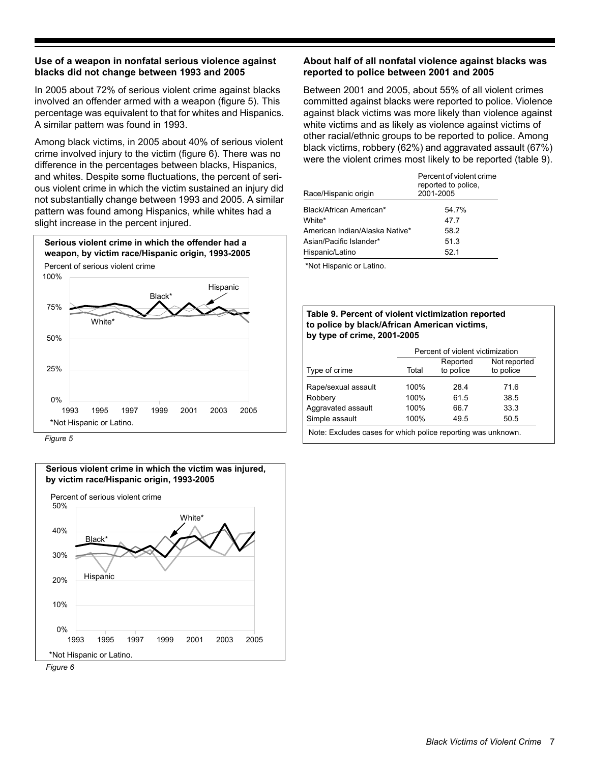# **Use of a weapon in nonfatal serious violence against blacks did not change between 1993 and 2005**

In 2005 about 72% of serious violent crime against blacks involved an offender armed with a weapon (figure 5). This percentage was equivalent to that for whites and Hispanics. A similar pattern was found in 1993.

Among black victims, in 2005 about 40% of serious violent crime involved injury to the victim (figure 6). There was no difference in the percentages between blacks, Hispanics, and whites. Despite some fluctuations, the percent of serious violent crime in which the victim sustained an injury did not substantially change between 1993 and 2005. A similar pattern was found among Hispanics, while whites had a slight increase in the percent injured.



*Figure 5*



# **About half of all nonfatal violence against blacks was reported to police between 2001 and 2005**

Between 2001 and 2005, about 55% of all violent crimes committed against blacks were reported to police. Violence against black victims was more likely than violence against white victims and as likely as violence against victims of other racial/ethnic groups to be reported to police. Among black victims, robbery (62%) and aggravated assault (67%) were the violent crimes most likely to be reported (table 9).

| Race/Hispanic origin           | Percent of violent crime<br>reported to police.<br>2001-2005 |  |
|--------------------------------|--------------------------------------------------------------|--|
| Black/African American*        | 54.7%                                                        |  |
| White*                         | 47.7                                                         |  |
| American Indian/Alaska Native* | 58.2                                                         |  |
| Asian/Pacific Islander*        | 51.3                                                         |  |
| Hispanic/Latino                | 52.1                                                         |  |
|                                |                                                              |  |

\*Not Hispanic or Latino.

| Table 9. Percent of violent victimization reported |  |
|----------------------------------------------------|--|
| to police by black/African American victims,       |  |
| by type of crime, 2001-2005                        |  |

|                     |       | Percent of violent victimization |                           |  |  |  |
|---------------------|-------|----------------------------------|---------------------------|--|--|--|
| Type of crime       | Total | Reported<br>to police            | Not reported<br>to police |  |  |  |
| Rape/sexual assault | 100%  | 28.4                             | 71.6                      |  |  |  |
| Robbery             | 100%  | 61.5                             | 38.5                      |  |  |  |
| Aggravated assault  | 100%  | 66.7                             | 33.3                      |  |  |  |
| Simple assault      | 100%  | 49.5                             | 50.5                      |  |  |  |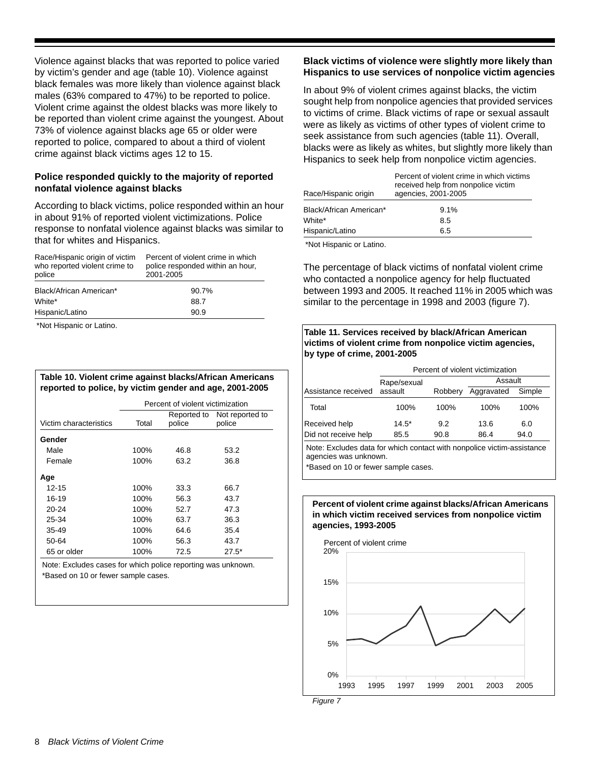Violence against blacks that was reported to police varied by victim's gender and age (table 10). Violence against black females was more likely than violence against black males (63% compared to 47%) to be reported to police. Violent crime against the oldest blacks was more likely to be reported than violent crime against the youngest. About 73% of violence against blacks age 65 or older were reported to police, compared to about a third of violent crime against black victims ages 12 to 15.

# **Police responded quickly to the majority of reported nonfatal violence against blacks**

According to black victims, police responded within an hour in about 91% of reported violent victimizations. Police response to nonfatal violence against blacks was similar to that for whites and Hispanics.

| Race/Hispanic origin of victim<br>who reported violent crime to<br>police | Percent of violent crime in which<br>police responded within an hour,<br>2001-2005 |  |  |  |
|---------------------------------------------------------------------------|------------------------------------------------------------------------------------|--|--|--|
| Black/African American*                                                   | 90.7%                                                                              |  |  |  |
| White*                                                                    | 88.7                                                                               |  |  |  |
| Hispanic/Latino                                                           | 90.9                                                                               |  |  |  |

\*Not Hispanic or Latino.

| Table 10. Violent crime against blacks/African Americans |
|----------------------------------------------------------|
| reported to police, by victim gender and age, 2001-2005  |

|                        | Percent of violent victimization |                       |                           |  |  |
|------------------------|----------------------------------|-----------------------|---------------------------|--|--|
| Victim characteristics | Total                            | Reported to<br>police | Not reported to<br>police |  |  |
| Gender                 |                                  |                       |                           |  |  |
| Male                   | 100%                             | 46.8                  | 53.2                      |  |  |
| Female                 | 100%                             | 63.2                  | 36.8                      |  |  |
| Age                    |                                  |                       |                           |  |  |
| $12 - 15$              | 100%                             | 33.3                  | 66.7                      |  |  |
| 16-19                  | 100%                             | 56.3                  | 43.7                      |  |  |
| $20 - 24$              | 100%                             | 52.7                  | 47.3                      |  |  |
| 25-34                  | 100%                             | 63.7                  | 36.3                      |  |  |
| 35-49                  | 100%                             | 64.6                  | 35.4                      |  |  |
| 50-64                  | 100%                             | 56.3                  | 43.7                      |  |  |
| 65 or older            | 100%                             | 72.5                  | $27.5*$                   |  |  |

Note: Excludes cases for which police reporting was unknown. \*Based on 10 or fewer sample cases.

# **Black victims of violence were slightly more likely than Hispanics to use services of nonpolice victim agencies**

In about 9% of violent crimes against blacks, the victim sought help from nonpolice agencies that provided services to victims of crime. Black victims of rape or sexual assault were as likely as victims of other types of violent crime to seek assistance from such agencies (table 11). Overall, blacks were as likely as whites, but slightly more likely than Hispanics to seek help from nonpolice victim agencies.

| Race/Hispanic origin    | Percent of violent crime in which victims<br>received help from nonpolice victim<br>agencies, 2001-2005 |
|-------------------------|---------------------------------------------------------------------------------------------------------|
| Black/African American* | 9.1%                                                                                                    |
| White*                  | 8.5                                                                                                     |
| Hispanic/Latino         | 6.5                                                                                                     |

\*Not Hispanic or Latino.

The percentage of black victims of nonfatal violent crime who contacted a nonpolice agency for help fluctuated between 1993 and 2005. It reached 11% in 2005 which was similar to the percentage in 1998 and 2003 (figure 7).

# **Table 11. Services received by black/African American victims of violent crime from nonpolice victim agencies, by type of crime, 2001-2005**

|                      | Percent of violent victimization |         |            |        |  |  |
|----------------------|----------------------------------|---------|------------|--------|--|--|
|                      | Assault<br>Rape/sexual           |         |            |        |  |  |
| Assistance received  | assault                          | Robbery | Aggravated | Simple |  |  |
| Total                | 100%                             | 100%    | 100%       | 100%   |  |  |
| Received help        | $14.5*$                          | 9.2     | 13.6       | 6.0    |  |  |
| Did not receive help | 85.5                             | 90.8    | 86.4       | 94.0   |  |  |

Note: Excludes data for which contact with nonpolice victim-assistance agencies was unknown.

\*Based on 10 or fewer sample cases.

#### **Percent of violent crime against blacks/African Americans in which victim received services from nonpolice victim agencies, 1993-2005**



*Figure 7*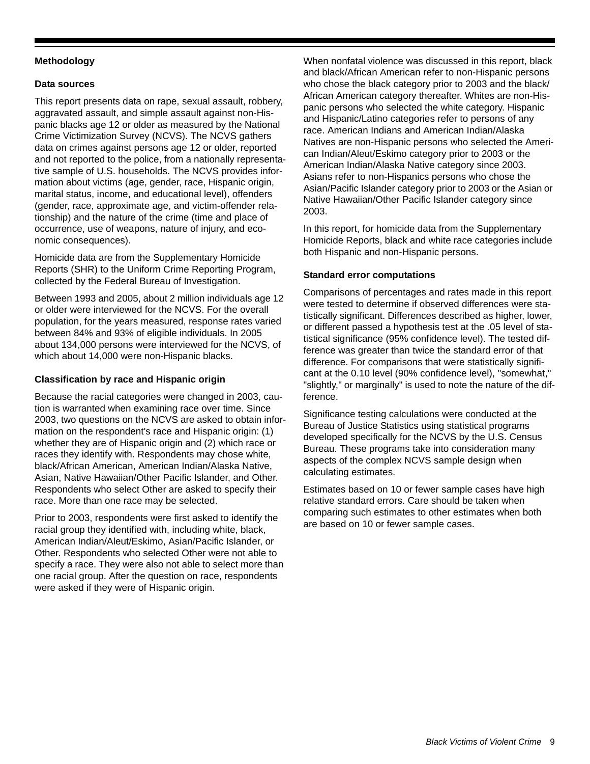# **Methodology**

# **Data sources**

This report presents data on rape, sexual assault, robbery, aggravated assault, and simple assault against non-Hispanic blacks age 12 or older as measured by the National Crime Victimization Survey (NCVS). The NCVS gathers data on crimes against persons age 12 or older, reported and not reported to the police, from a nationally representative sample of U.S. households. The NCVS provides information about victims (age, gender, race, Hispanic origin, marital status, income, and educational level), offenders (gender, race, approximate age, and victim-offender relationship) and the nature of the crime (time and place of occurrence, use of weapons, nature of injury, and economic consequences).

Homicide data are from the Supplementary Homicide Reports (SHR) to the Uniform Crime Reporting Program, collected by the Federal Bureau of Investigation.

Between 1993 and 2005, about 2 million individuals age 12 or older were interviewed for the NCVS. For the overall population, for the years measured, response rates varied between 84% and 93% of eligible individuals. In 2005 about 134,000 persons were interviewed for the NCVS, of which about 14,000 were non-Hispanic blacks.

# **Classification by race and Hispanic origin**

Because the racial categories were changed in 2003, caution is warranted when examining race over time. Since 2003, two questions on the NCVS are asked to obtain information on the respondent's race and Hispanic origin: (1) whether they are of Hispanic origin and (2) which race or races they identify with. Respondents may chose white, black/African American, American Indian/Alaska Native, Asian, Native Hawaiian/Other Pacific Islander, and Other. Respondents who select Other are asked to specify their race. More than one race may be selected.

Prior to 2003, respondents were first asked to identify the racial group they identified with, including white, black, American Indian/Aleut/Eskimo, Asian/Pacific Islander, or Other. Respondents who selected Other were not able to specify a race. They were also not able to select more than one racial group. After the question on race, respondents were asked if they were of Hispanic origin.

When nonfatal violence was discussed in this report, black and black/African American refer to non-Hispanic persons who chose the black category prior to 2003 and the black/ African American category thereafter. Whites are non-Hispanic persons who selected the white category. Hispanic and Hispanic/Latino categories refer to persons of any race. American Indians and American Indian/Alaska Natives are non-Hispanic persons who selected the American Indian/Aleut/Eskimo category prior to 2003 or the American Indian/Alaska Native category since 2003. Asians refer to non-Hispanics persons who chose the Asian/Pacific Islander category prior to 2003 or the Asian or Native Hawaiian/Other Pacific Islander category since 2003.

In this report, for homicide data from the Supplementary Homicide Reports, black and white race categories include both Hispanic and non-Hispanic persons.

# **Standard error computations**

Comparisons of percentages and rates made in this report were tested to determine if observed differences were statistically significant. Differences described as higher, lower, or different passed a hypothesis test at the .05 level of statistical significance (95% confidence level). The tested difference was greater than twice the standard error of that difference. For comparisons that were statistically significant at the 0.10 level (90% confidence level), "somewhat," "slightly," or marginally" is used to note the nature of the difference.

Significance testing calculations were conducted at the Bureau of Justice Statistics using statistical programs developed specifically for the NCVS by the U.S. Census Bureau. These programs take into consideration many aspects of the complex NCVS sample design when calculating estimates.

Estimates based on 10 or fewer sample cases have high relative standard errors. Care should be taken when comparing such estimates to other estimates when both are based on 10 or fewer sample cases.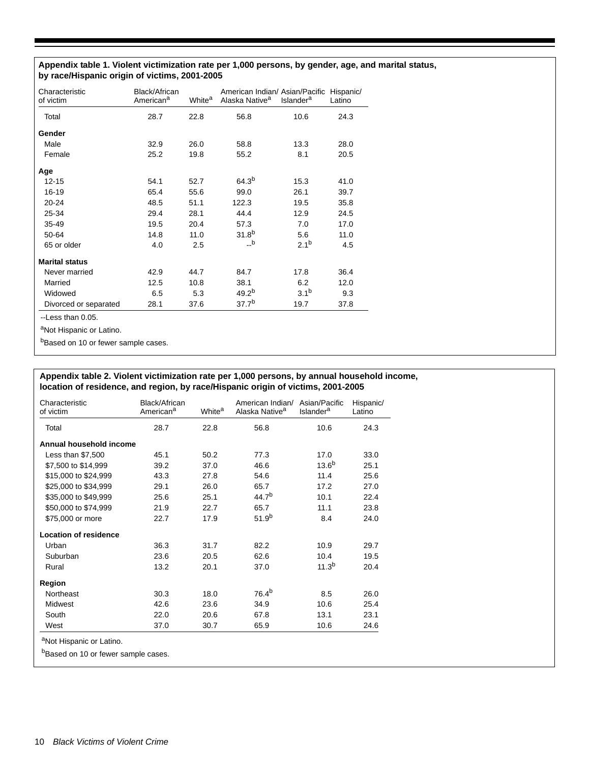# **Appendix table 1. Violent victimization rate per 1,000 persons, by gender, age, and marital status, by race/Hispanic origin of victims, 2001-2005**

| Characteristic<br>of victim | Black/African<br>American <sup>a</sup> | White <sup>a</sup> | American Indian/ Asian/Pacific<br>Alaska Native <sup>a</sup> | <b>Islander<sup>a</sup></b> | Hispanic/<br>Latino |
|-----------------------------|----------------------------------------|--------------------|--------------------------------------------------------------|-----------------------------|---------------------|
| Total                       | 28.7                                   | 22.8               | 56.8                                                         | 10.6                        | 24.3                |
| Gender                      |                                        |                    |                                                              |                             |                     |
| Male                        | 32.9                                   | 26.0               | 58.8                                                         | 13.3                        | 28.0                |
| Female                      | 25.2                                   | 19.8               | 55.2                                                         | 8.1                         | 20.5                |
| Age                         |                                        |                    |                                                              |                             |                     |
| $12 - 15$                   | 54.1                                   | 52.7               | $64.3^{b}$                                                   | 15.3                        | 41.0                |
| $16 - 19$                   | 65.4                                   | 55.6               | 99.0                                                         | 26.1                        | 39.7                |
| $20 - 24$                   | 48.5                                   | 51.1               | 122.3                                                        | 19.5                        | 35.8                |
| 25-34                       | 29.4                                   | 28.1               | 44.4                                                         | 12.9                        | 24.5                |
| 35-49                       | 19.5                                   | 20.4               | 57.3                                                         | 7.0                         | 17.0                |
| 50-64                       | 14.8                                   | 11.0               | $31.8^{b}$                                                   | 5.6                         | 11.0                |
| 65 or older                 | 4.0                                    | 2.5                | $\overline{\phantom{a}}$                                     | $2.1^{b}$                   | 4.5                 |
| <b>Marital status</b>       |                                        |                    |                                                              |                             |                     |
| Never married               | 42.9                                   | 44.7               | 84.7                                                         | 17.8                        | 36.4                |
| Married                     | 12.5                                   | 10.8               | 38.1                                                         | 6.2                         | 12.0                |
| Widowed                     | 6.5                                    | 5.3                | $49.2^{b}$                                                   | 3.1 <sup>b</sup>            | 9.3                 |
| Divorced or separated       | 28.1                                   | 37.6               | 37.7 <sup>b</sup>                                            | 19.7                        | 37.8                |

--Less than 0.05.

aNot Hispanic or Latino.

bBased on 10 or fewer sample cases.

# **Appendix table 2. Violent victimization rate per 1,000 persons, by annual household income, location of residence, and region, by race/Hispanic origin of victims, 2001-2005**

| Characteristic<br>of victim  | Black/African<br>American <sup>a</sup> | White <sup>a</sup> | American Indian/<br>Alaska Native <sup>a</sup> | Asian/Pacific<br><b>Islander<sup>a</sup></b> | Hispanic/<br>Latino |
|------------------------------|----------------------------------------|--------------------|------------------------------------------------|----------------------------------------------|---------------------|
| Total                        | 28.7                                   | 22.8               | 56.8                                           | 10.6                                         | 24.3                |
| Annual household income      |                                        |                    |                                                |                                              |                     |
| Less than $$7,500$           | 45.1                                   | 50.2               | 77.3                                           | 17.0                                         | 33.0                |
| \$7,500 to \$14,999          | 39.2                                   | 37.0               | 46.6                                           | 13.6 <sup>b</sup>                            | 25.1                |
| \$15,000 to \$24,999         | 43.3                                   | 27.8               | 54.6                                           | 11.4                                         | 25.6                |
| \$25,000 to \$34,999         | 29.1                                   | 26.0               | 65.7                                           | 17.2                                         | 27.0                |
| \$35,000 to \$49,999         | 25.6                                   | 25.1               | 44.7 <sup>b</sup>                              | 10.1                                         | 22.4                |
| \$50,000 to \$74,999         | 21.9                                   | 22.7               | 65.7                                           | 11.1                                         | 23.8                |
| \$75,000 or more             | 22.7                                   | 17.9               | $51.9^{b}$                                     | 8.4                                          | 24.0                |
| <b>Location of residence</b> |                                        |                    |                                                |                                              |                     |
| Urban                        | 36.3                                   | 31.7               | 82.2                                           | 10.9                                         | 29.7                |
| Suburban                     | 23.6                                   | 20.5               | 62.6                                           | 10.4                                         | 19.5                |
| Rural                        | 13.2                                   | 20.1               | 37.0                                           | 11.3 <sup>b</sup>                            | 20.4                |
| Region                       |                                        |                    |                                                |                                              |                     |
| Northeast                    | 30.3                                   | 18.0               | $76.4^{b}$                                     | 8.5                                          | 26.0                |
| Midwest                      | 42.6                                   | 23.6               | 34.9                                           | 10.6                                         | 25.4                |
| South                        | 22.0                                   | 20.6               | 67.8                                           | 13.1                                         | 23.1                |
| West                         | 37.0                                   | 30.7               | 65.9                                           | 10.6                                         | 24.6                |

aNot Hispanic or Latino.

bBased on 10 or fewer sample cases.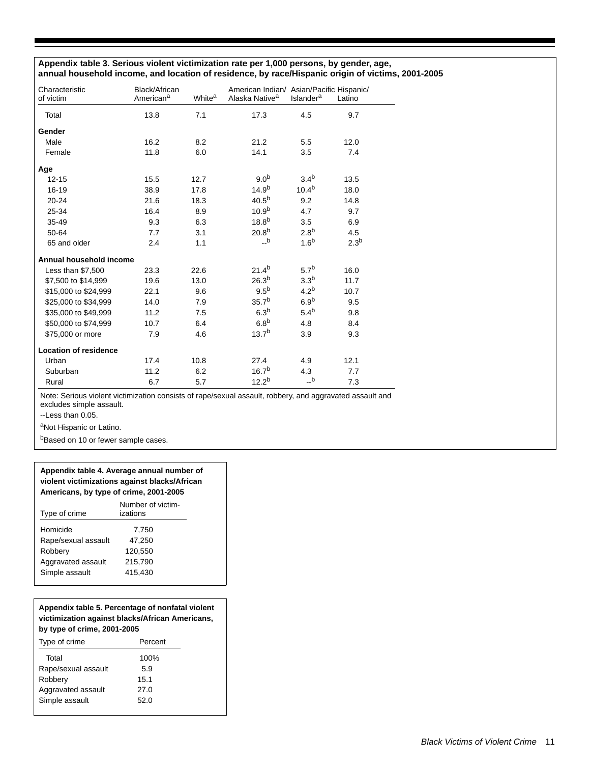# **Appendix table 3. Serious violent victimization rate per 1,000 persons, by gender, age, annual household income, and location of residence, by race/Hispanic origin of victims, 2001-2005**

| Characteristic<br>of victim  | Black/African<br>American <sup>a</sup> | White <sup>a</sup> | American Indian/ Asian/Pacific Hispanic/<br>Alaska Native <sup>a</sup> | <b>Islander<sup>a</sup></b> | Latino           |
|------------------------------|----------------------------------------|--------------------|------------------------------------------------------------------------|-----------------------------|------------------|
| Total                        | 13.8                                   | 7.1                | 17.3                                                                   | 4.5                         | 9.7              |
| Gender                       |                                        |                    |                                                                        |                             |                  |
| Male                         | 16.2                                   | 8.2                | 21.2                                                                   | 5.5                         | 12.0             |
| Female                       | 11.8                                   | 6.0                | 14.1                                                                   | 3.5                         | 7.4              |
| Age                          |                                        |                    |                                                                        |                             |                  |
| $12 - 15$                    | 15.5                                   | 12.7               | 9.0 <sup>b</sup>                                                       | 3.4 <sup>b</sup>            | 13.5             |
| 16-19                        | 38.9                                   | 17.8               | 14.9 <sup>b</sup>                                                      | $10.4^{b}$                  | 18.0             |
| $20 - 24$                    | 21.6                                   | 18.3               | $40.5^{b}$                                                             | 9.2                         | 14.8             |
| 25-34                        | 16.4                                   | 8.9                | 10.9 <sup>b</sup>                                                      | 4.7                         | 9.7              |
| $35 - 49$                    | 9.3                                    | 6.3                | $18.8^{b}$                                                             | 3.5                         | 6.9              |
| 50-64                        | 7.7                                    | 3.1                | $20.8^{b}$                                                             | 2.8 <sup>b</sup>            | 4.5              |
| 65 and older                 | 2.4                                    | 1.1                | $\mathsf{L}^{\mathsf{b}}$                                              | 1.6 <sup>b</sup>            | 2.3 <sup>b</sup> |
| Annual household income      |                                        |                    |                                                                        |                             |                  |
| Less than \$7,500            | 23.3                                   | 22.6               | $21.4^{b}$                                                             | 5.7 <sup>b</sup>            | 16.0             |
| \$7,500 to \$14,999          | 19.6                                   | 13.0               | $26.3^{b}$                                                             | 3.3 <sup>b</sup>            | 11.7             |
| \$15,000 to \$24,999         | 22.1                                   | 9.6                | 9.5 <sup>b</sup>                                                       | 4.2 <sup>b</sup>            | 10.7             |
| \$25,000 to \$34,999         | 14.0                                   | 7.9                | $35.7^{b}$                                                             | 6.9 <sup>b</sup>            | 9.5              |
| \$35,000 to \$49,999         | 11.2                                   | 7.5                | 6.3 <sup>b</sup>                                                       | 5.4 <sup>b</sup>            | 9.8              |
| \$50,000 to \$74,999         | 10.7                                   | 6.4                | 6.8 <sup>b</sup>                                                       | 4.8                         | 8.4              |
| \$75,000 or more             | 7.9                                    | 4.6                | $13.7^{b}$                                                             | 3.9                         | 9.3              |
| <b>Location of residence</b> |                                        |                    |                                                                        |                             |                  |
| Urban                        | 17.4                                   | 10.8               | 27.4                                                                   | 4.9                         | 12.1             |
| Suburban                     | 11.2                                   | 6.2                | $16.7^{b}$                                                             | 4.3                         | 7.7              |
| Rural                        | 6.7                                    | 5.7                | 12.2 <sup>b</sup>                                                      | $\_b$                       | 7.3              |

Note: Serious violent victimization consists of rape/sexual assault, robbery, and aggravated assault and excludes simple assault.

--Less than 0.05.

aNot Hispanic or Latino.

bBased on 10 or fewer sample cases.

#### **Appendix table 4. Average annual number of violent victimizations against blacks/African Americans, by type of crime, 2001-2005**

| Type of crime       | Number of victim-<br>izations |
|---------------------|-------------------------------|
| Homicide            | 7,750                         |
| Rape/sexual assault | 47.250                        |
| Robbery             | 120.550                       |
| Aggravated assault  | 215,790                       |
| Simple assault      | 415.430                       |
|                     |                               |

#### **Appendix table 5. Percentage of nonfatal violent victimization against blacks/African Americans, by type of crime, 2001-2005**

| Type of crime       | Percent |  |
|---------------------|---------|--|
| Total               | 100%    |  |
| Rape/sexual assault | 5.9     |  |
| Robbery             | 15.1    |  |
| Aggravated assault  | 27.0    |  |
| Simple assault      | 52.0    |  |
|                     |         |  |